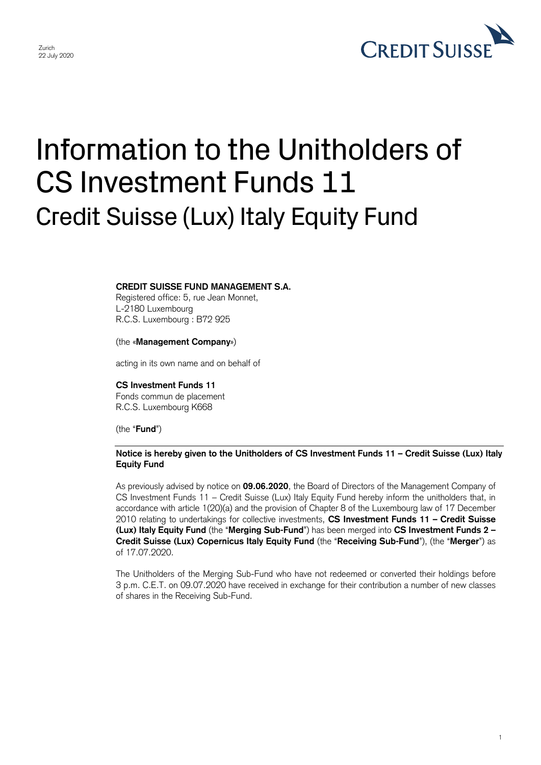

1

# Information to the Unitholders of CS Investment Funds 11 Credit Suisse (Lux) Italy Equity Fund

# **CREDIT SUISSE FUND MANAGEMENT S.A.**

Registered office: 5, rue Jean Monnet, L-2180 Luxembourg R.C.S. Luxembourg : B72 925

### (the «**Management Company**»)

acting in its own name and on behalf of

#### **CS Investment Funds 11**

Fonds commun de placement R.C.S. Luxembourg K668

(the "**Fund**")

# **Notice is hereby given to the Unitholders of CS Investment Funds 11 – Credit Suisse (Lux) Italy Equity Fund**

As previously advised by notice on **09.06.2020**, the Board of Directors of the Management Company of CS Investment Funds 11 – Credit Suisse (Lux) Italy Equity Fund hereby inform the unitholders that, in accordance with article 1(20)(a) and the provision of Chapter 8 of the Luxembourg law of 17 December 2010 relating to undertakings for collective investments, **CS Investment Funds 11 – Credit Suisse (Lux) Italy Equity Fund** (the "**Merging Sub-Fund**") has been merged into **CS Investment Funds 2 – Credit Suisse (Lux) Copernicus Italy Equity Fund** (the "**Receiving Sub-Fund**"), (the "**Merger**") as of 17.07.2020.

The Unitholders of the Merging Sub-Fund who have not redeemed or converted their holdings before 3 p.m. C.E.T. on 09.07.2020 have received in exchange for their contribution a number of new classes of shares in the Receiving Sub-Fund.